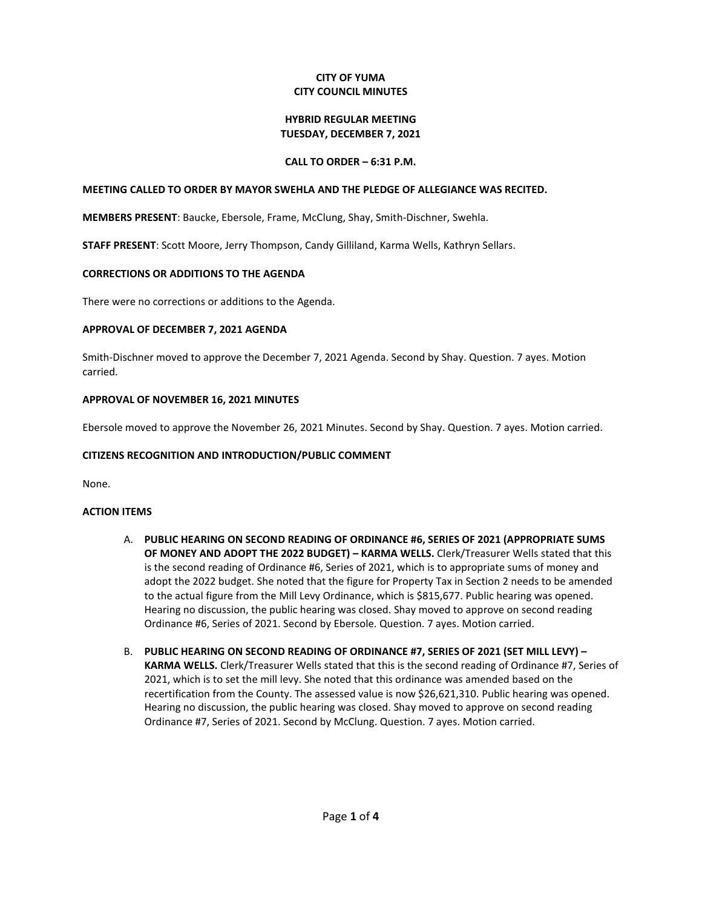### **CITY OF YUMA CITY COUNCIL MINUTES**

#### **HYBRID REGULAR MEETING TUESDAY, DECEMBER 7, 2021**

# **CALL TO ORDER – 6:31 P.M.**

#### **MEETING CALLED TO ORDER BY MAYOR SWEHLA AND THE PLEDGE OF ALLEGIANCE WAS RECITED.**

**MEMBERS PRESENT**: Baucke, Ebersole, Frame, McClung, Shay, Smith-Dischner, Swehla.

**STAFF PRESENT**: Scott Moore, Jerry Thompson, Candy Gilliland, Karma Wells, Kathryn Sellars.

### **CORRECTIONS OR ADDITIONS TO THE AGENDA**

There were no corrections or additions to the Agenda.

### **APPROVAL OF DECEMBER 7, 2021 AGENDA**

Smith-Dischner moved to approve the December 7, 2021 Agenda. Second by Shay. Question. 7 ayes. Motion carried.

### **APPROVAL OF NOVEMBER 16, 2021 MINUTES**

Ebersole moved to approve the November 26, 2021 Minutes. Second by Shay. Question. 7 ayes. Motion carried.

# **CITIZENS RECOGNITION AND INTRODUCTION/PUBLIC COMMENT**

None.

# **ACTION ITEMS**

- A. **PUBLIC HEARING ON SECOND READING OF ORDINANCE #6, SERIES OF 2021 (APPROPRIATE SUMS OF MONEY AND ADOPT THE 2022 BUDGET) – KARMA WELLS.** Clerk/Treasurer Wells stated that this is the second reading of Ordinance #6, Series of 2021, which is to appropriate sums of money and adopt the 2022 budget. She noted that the figure for Property Tax in Section 2 needs to be amended to the actual figure from the Mill Levy Ordinance, which is \$815,677. Public hearing was opened. Hearing no discussion, the public hearing was closed. Shay moved to approve on second reading Ordinance #6, Series of 2021. Second by Ebersole. Question. 7 ayes. Motion carried.
- B. **PUBLIC HEARING ON SECOND READING OF ORDINANCE #7, SERIES OF 2021 (SET MILL LEVY) – KARMA WELLS.** Clerk/Treasurer Wells stated that this is the second reading of Ordinance #7, Series of 2021, which is to set the mill levy. She noted that this ordinance was amended based on the recertification from the County. The assessed value is now \$26,621,310. Public hearing was opened. Hearing no discussion, the public hearing was closed. Shay moved to approve on second reading Ordinance #7, Series of 2021. Second by McClung. Question. 7 ayes. Motion carried.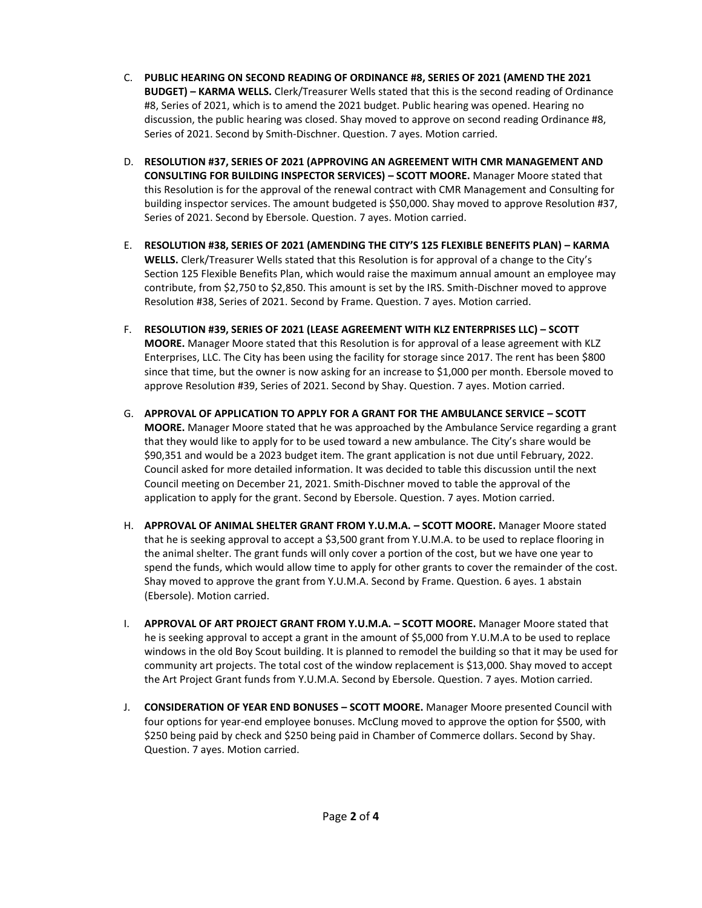- C. **PUBLIC HEARING ON SECOND READING OF ORDINANCE #8, SERIES OF 2021 (AMEND THE 2021 BUDGET) – KARMA WELLS.** Clerk/Treasurer Wells stated that this is the second reading of Ordinance #8, Series of 2021, which is to amend the 2021 budget. Public hearing was opened. Hearing no discussion, the public hearing was closed. Shay moved to approve on second reading Ordinance #8, Series of 2021. Second by Smith-Dischner. Question. 7 ayes. Motion carried.
- D. **RESOLUTION #37, SERIES OF 2021 (APPROVING AN AGREEMENT WITH CMR MANAGEMENT AND CONSULTING FOR BUILDING INSPECTOR SERVICES) – SCOTT MOORE.** Manager Moore stated that this Resolution is for the approval of the renewal contract with CMR Management and Consulting for building inspector services. The amount budgeted is \$50,000. Shay moved to approve Resolution #37, Series of 2021. Second by Ebersole. Question. 7 ayes. Motion carried.
- E. **RESOLUTION #38, SERIES OF 2021 (AMENDING THE CITY'S 125 FLEXIBLE BENEFITS PLAN) – KARMA WELLS.** Clerk/Treasurer Wells stated that this Resolution is for approval of a change to the City's Section 125 Flexible Benefits Plan, which would raise the maximum annual amount an employee may contribute, from \$2,750 to \$2,850. This amount is set by the IRS. Smith-Dischner moved to approve Resolution #38, Series of 2021. Second by Frame. Question. 7 ayes. Motion carried.
- F. **RESOLUTION #39, SERIES OF 2021 (LEASE AGREEMENT WITH KLZ ENTERPRISES LLC) – SCOTT MOORE.** Manager Moore stated that this Resolution is for approval of a lease agreement with KLZ Enterprises, LLC. The City has been using the facility for storage since 2017. The rent has been \$800 since that time, but the owner is now asking for an increase to \$1,000 per month. Ebersole moved to approve Resolution #39, Series of 2021. Second by Shay. Question. 7 ayes. Motion carried.
- G. **APPROVAL OF APPLICATION TO APPLY FOR A GRANT FOR THE AMBULANCE SERVICE – SCOTT MOORE.** Manager Moore stated that he was approached by the Ambulance Service regarding a grant that they would like to apply for to be used toward a new ambulance. The City's share would be \$90,351 and would be a 2023 budget item. The grant application is not due until February, 2022. Council asked for more detailed information. It was decided to table this discussion until the next Council meeting on December 21, 2021. Smith-Dischner moved to table the approval of the application to apply for the grant. Second by Ebersole. Question. 7 ayes. Motion carried.
- H. **APPROVAL OF ANIMAL SHELTER GRANT FROM Y.U.M.A. – SCOTT MOORE.** Manager Moore stated that he is seeking approval to accept a \$3,500 grant from Y.U.M.A. to be used to replace flooring in the animal shelter. The grant funds will only cover a portion of the cost, but we have one year to spend the funds, which would allow time to apply for other grants to cover the remainder of the cost. Shay moved to approve the grant from Y.U.M.A. Second by Frame. Question. 6 ayes. 1 abstain (Ebersole). Motion carried.
- I. **APPROVAL OF ART PROJECT GRANT FROM Y.U.M.A. – SCOTT MOORE.** Manager Moore stated that he is seeking approval to accept a grant in the amount of \$5,000 from Y.U.M.A to be used to replace windows in the old Boy Scout building. It is planned to remodel the building so that it may be used for community art projects. The total cost of the window replacement is \$13,000. Shay moved to accept the Art Project Grant funds from Y.U.M.A. Second by Ebersole. Question. 7 ayes. Motion carried.
- J. **CONSIDERATION OF YEAR END BONUSES – SCOTT MOORE.** Manager Moore presented Council with four options for year-end employee bonuses. McClung moved to approve the option for \$500, with \$250 being paid by check and \$250 being paid in Chamber of Commerce dollars. Second by Shay. Question. 7 ayes. Motion carried.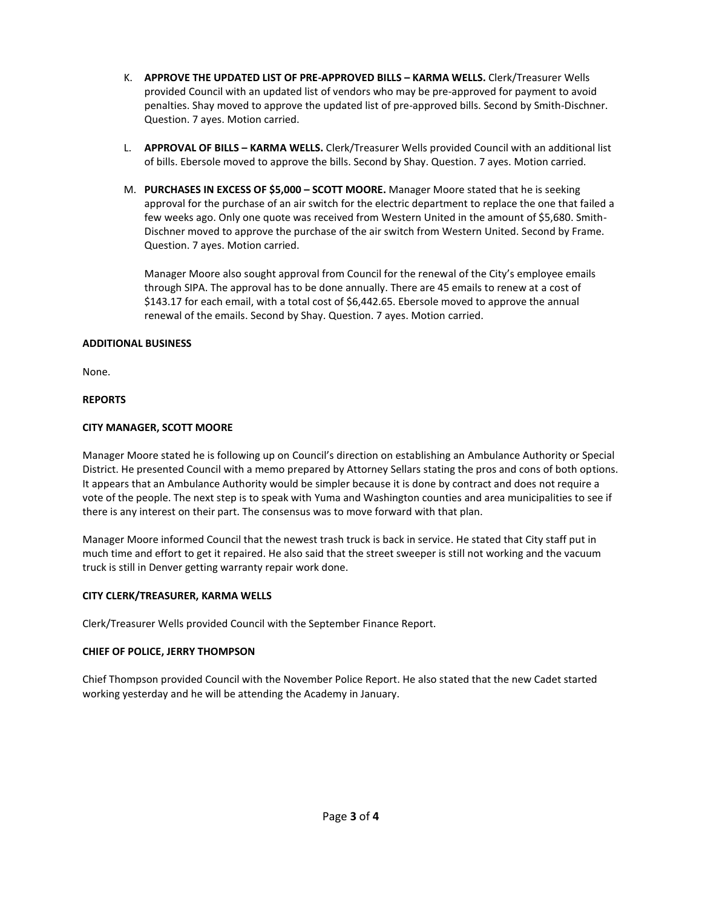- K. **APPROVE THE UPDATED LIST OF PRE-APPROVED BILLS – KARMA WELLS.** Clerk/Treasurer Wells provided Council with an updated list of vendors who may be pre-approved for payment to avoid penalties. Shay moved to approve the updated list of pre-approved bills. Second by Smith-Dischner. Question. 7 ayes. Motion carried.
- L. **APPROVAL OF BILLS – KARMA WELLS.** Clerk/Treasurer Wells provided Council with an additional list of bills. Ebersole moved to approve the bills. Second by Shay. Question. 7 ayes. Motion carried.
- M. **PURCHASES IN EXCESS OF \$5,000 – SCOTT MOORE.** Manager Moore stated that he is seeking approval for the purchase of an air switch for the electric department to replace the one that failed a few weeks ago. Only one quote was received from Western United in the amount of \$5,680. Smith-Dischner moved to approve the purchase of the air switch from Western United. Second by Frame. Question. 7 ayes. Motion carried.

Manager Moore also sought approval from Council for the renewal of the City's employee emails through SIPA. The approval has to be done annually. There are 45 emails to renew at a cost of \$143.17 for each email, with a total cost of \$6,442.65. Ebersole moved to approve the annual renewal of the emails. Second by Shay. Question. 7 ayes. Motion carried.

# **ADDITIONAL BUSINESS**

None.

### **REPORTS**

### **CITY MANAGER, SCOTT MOORE**

Manager Moore stated he is following up on Council's direction on establishing an Ambulance Authority or Special District. He presented Council with a memo prepared by Attorney Sellars stating the pros and cons of both options. It appears that an Ambulance Authority would be simpler because it is done by contract and does not require a vote of the people. The next step is to speak with Yuma and Washington counties and area municipalities to see if there is any interest on their part. The consensus was to move forward with that plan.

Manager Moore informed Council that the newest trash truck is back in service. He stated that City staff put in much time and effort to get it repaired. He also said that the street sweeper is still not working and the vacuum truck is still in Denver getting warranty repair work done.

#### **CITY CLERK/TREASURER, KARMA WELLS**

Clerk/Treasurer Wells provided Council with the September Finance Report.

#### **CHIEF OF POLICE, JERRY THOMPSON**

Chief Thompson provided Council with the November Police Report. He also stated that the new Cadet started working yesterday and he will be attending the Academy in January.